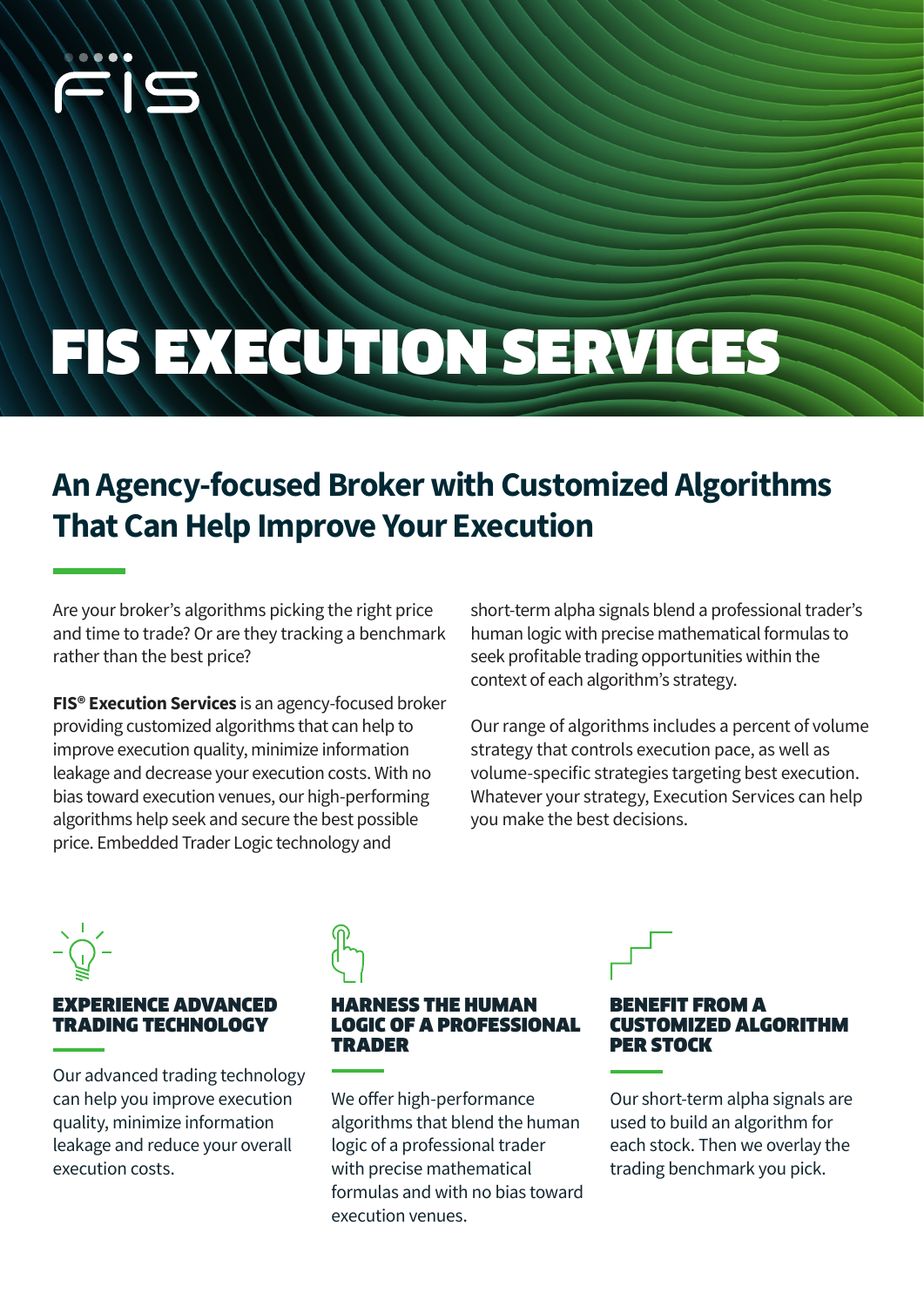

# FIS EXECUTION SERVICES

# **An Agency-focused Broker with Customized Algorithms That Can Help Improve Your Execution**

Are your broker's algorithms picking the right price and time to trade? Or are they tracking a benchmark rather than the best price?

**FIS® Execution Services** is an agency-focused broker providing customized algorithms that can help to improve execution quality, minimize information leakage and decrease your execution costs. With no bias toward execution venues, our high-performing algorithms help seek and secure the best possible price. Embedded Trader Logic technology and

short-term alpha signals blend a professional trader's human logic with precise mathematical formulas to seek profitable trading opportunities within the context of each algorithm's strategy.

Our range of algorithms includes a percent of volume strategy that controls execution pace, as well as volume-specific strategies targeting best execution. Whatever your strategy, Execution Services can help you make the best decisions.

#### EXPERIENCE ADVANCED TRADING TECHNOLOGY

Our advanced trading technology can help you improve execution quality, minimize information leakage and reduce your overall execution costs.

#### RNESS THE HUMAN LOGIC OF A PROFESSIONAL TRADER

We offer high-performance algorithms that blend the human logic of a professional trader with precise mathematical formulas and with no bias toward execution venues.

#### E**FIT FROM A** ISTOMIZED ALGORITHM PER STOCK

Our short-term alpha signals are used to build an algorithm for each stock. Then we overlay the trading benchmark you pick.